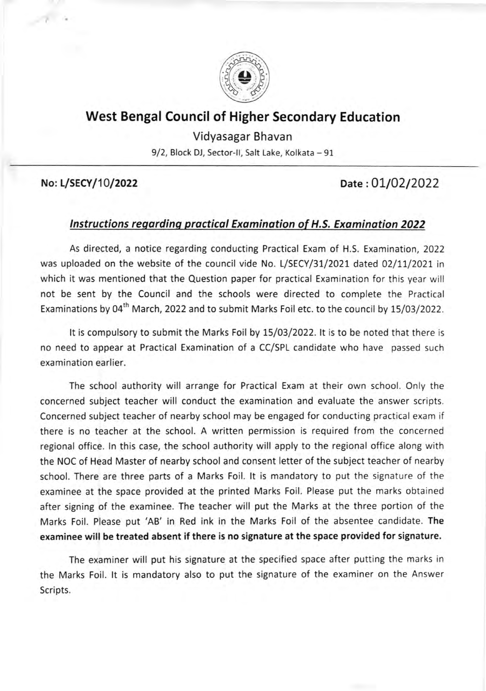

## West Bengal Council of Higher Secondary Education

Vidyasagar Bhavan

9/2, Block DJ, Sector-II, Salt Lake, Kolkata - 91

## No: L/SECY/10/2022 Date: 01/02/2022

## lnstructions reqardinq proctical Exomination of H.S. Examination 2022

As directed, a notice regarding conducting Practical Exam of H.S. Examination,2022 was uploaded on the website of the council vide No. L/SECY/31/2021 dated 02/11/2021 in which it was mentioned that the Question paper for practical Examination for this year will not be sent by the Council and the schools were directed to complete the Practical Examinations by 04<sup>th</sup> March, 2022 and to submit Marks Foil etc. to the council by 15/03/2022.

It is compulsory to submit the Marks Foil by 15/03/2022. It is to be noted that there is no need to appear at Practical Examination of a CC/SPL candidate who have passed such examination earlier.

The school authority will arrange for Practical Exam at their own school. Only the concerned subject teacher will conduct the examination and evaluate the answer scripts. Concerned subject teacher of nearby school may be engaged for conducting practical exam if there is no teacher at the school. A written permission is required from the concerned regional office. ln this case, the school authority will apply to the regional office along with the NOC of Head Master of nearby school and consent letter of the subject teacher of nearby school. There are three parts of a Marks Foil. lt is mandatory to put the signature of the examinee at the space provided at the printed Marks Foil. Please put the marks obtained after signing of the examinee. The teacher will put the Marks at the three portion of the Marks Foil. Please put'AB' in Red ink in the Marks Foil of the absentee candidate. The examinee will be treated absent if there is no signature at the space provided for signature,

The examiner will put his signature at the specified space after putting the marks in the Marks Foil. lt is mandatory also to put the signature of the examiner on the Answer Scripts.